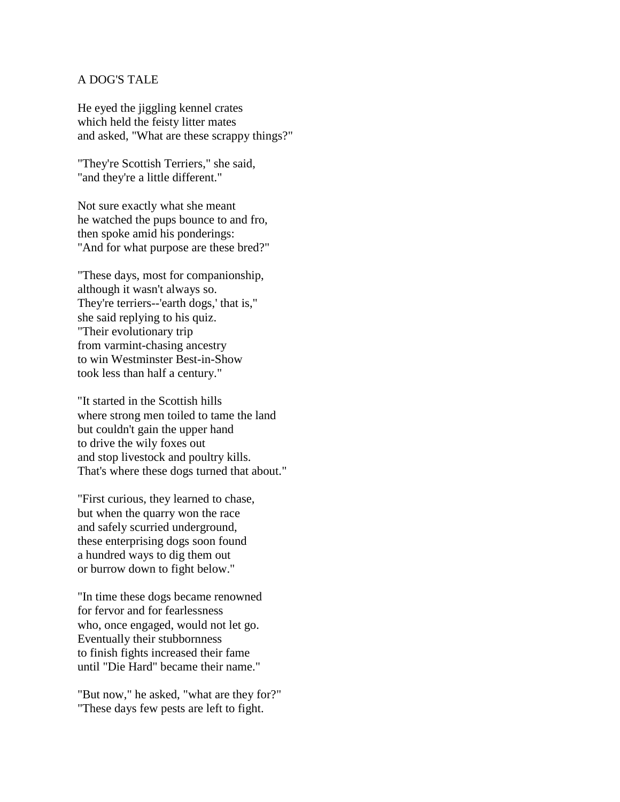## A DOG'S TALE

He eyed the jiggling kennel crates which held the feisty litter mates and asked, "What are these scrappy things?"

"They're Scottish Terriers," she said, "and they're a little different."

Not sure exactly what she meant he watched the pups bounce to and fro, then spoke amid his ponderings: "And for what purpose are these bred?"

"These days, most for companionship, although it wasn't always so. They're terriers--'earth dogs,' that is," she said replying to his quiz. "Their evolutionary trip from varmint-chasing ancestry to win Westminster Best-in-Show took less than half a century."

"It started in the Scottish hills where strong men toiled to tame the land but couldn't gain the upper hand to drive the wily foxes out and stop livestock and poultry kills. That's where these dogs turned that about."

"First curious, they learned to chase, but when the quarry won the race and safely scurried underground, these enterprising dogs soon found a hundred ways to dig them out or burrow down to fight below."

"In time these dogs became renowned for fervor and for fearlessness who, once engaged, would not let go. Eventually their stubbornness to finish fights increased their fame until "Die Hard" became their name."

"But now," he asked, "what are they for?" "These days few pests are left to fight.